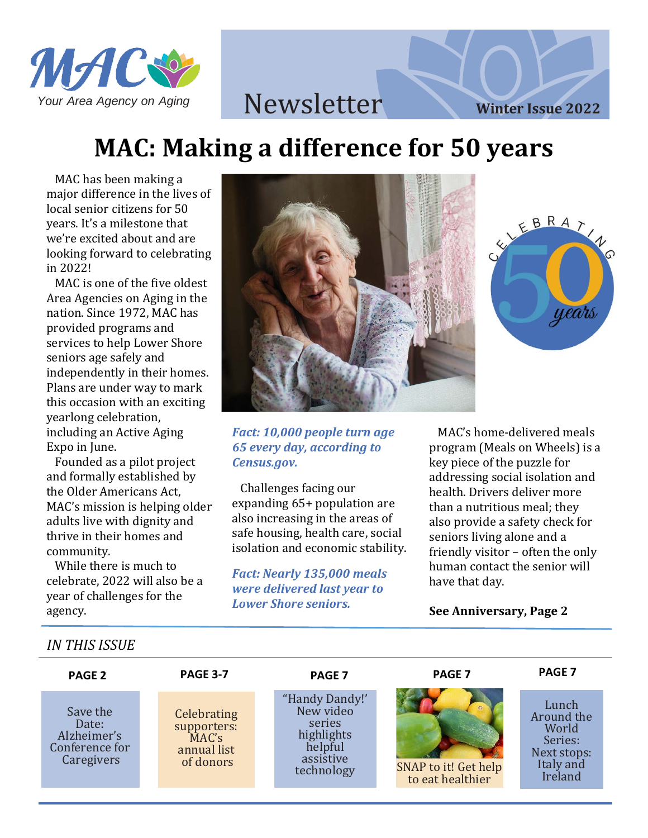

EBRATHO

years

# **MAC: Making a difference for 50 years**

 MAC has been making a major difference in the lives of local senior citizens for 50 years. It's a milestone that we're excited about and are looking forward to celebrating in 2022!

 MAC is one of the five oldest Area Agencies on Aging in the nation. Since 1972, MAC has provided programs and services to help Lower Shore seniors age safely and independently in their homes. Plans are under way to mark this occasion with an exciting yearlong celebration, including an Active Aging Expo in June.

 Founded as a pilot project and formally established by the Older Americans Act, MAC's mission is helping older adults live with dignity and thrive in their homes and community.

 While there is much to celebrate, 2022 will also be a year of challenges for the agency.

Ī Ī



*Fact: 10,000 people turn age 65 every day, according to Census.gov.*

 Challenges facing our expanding 65+ population are also increasing in the areas of safe housing, health care, social isolation and economic stability.

*Fact: Nearly 135,000 meals were delivered last year to Lower Shore seniors.*

 MAC's home-delivered meals program (Meals on Wheels) is a key piece of the puzzle for addressing social isolation and health. Drivers deliver more than a nutritious meal; they also provide a safety check for seniors living alone and a friendly visitor – often the only human contact the senior will have that day.

#### **See Anniversary, Page 2**

j

*IN THIS ISSUE*  $\overline{a}$  **PAGE 2**  Save the Conference for Caregivers Date: Alzheimer's **PAGE 3-7** SNAP to it! Get help to eat healthier  "Handy Dandy!' New video series highlights helpful assistive technology Lunch Around the **World** Series: Next stops: Italy and Ireland **Celebrating** supporters: MAC's annual list of donors **PAGE PAGE 7 PAGE 7 7**  $\overline{\phantom{0}}$  $\overline{a}$ **PAGE 7** ł l in the control 

l.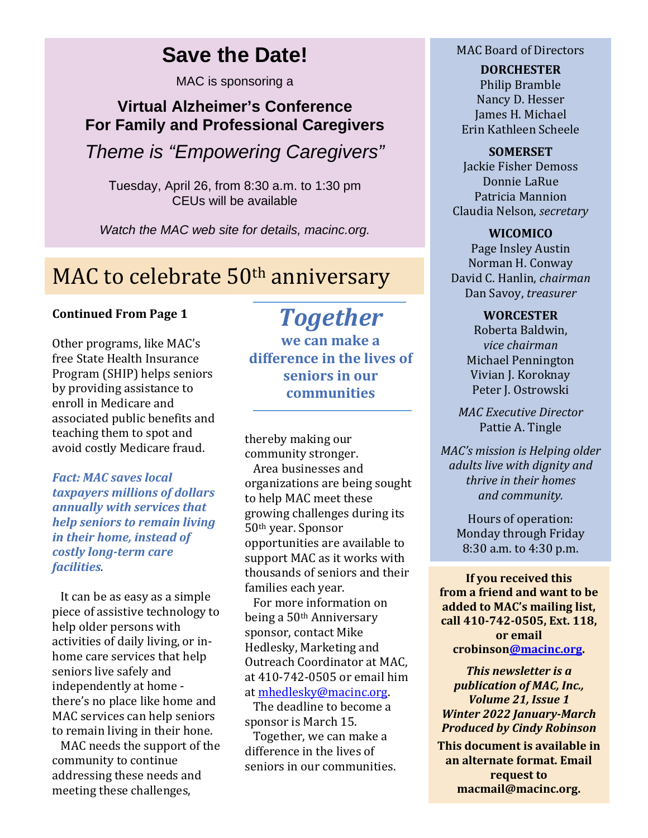# **Save the Date!**

MAC is sponsoring a

### **Virtual Alzheimer's Conference For Family and Professional Caregivers**

*Theme is "Empowering Caregivers"*

Tuesday, April 26, from 8:30 a.m. to 1:30 pm CEUs will be available

*Watch the MAC web site for details, macinc.org.*

# MAC to celebrate 50<sup>th</sup> anniversary

### **Continued From Page 1**

Other programs, like MAC's free State Health Insurance Program (SHIP) helps seniors by providing assistance to enroll in Medicare and associated public benefits and teaching them to spot and avoid costly Medicare fraud.

*Fact: MAC saves local taxpayers millions of dollars annually with services that help seniors to remain living in their home, instead of costly long-term care facilities.* 

 It can be as easy as a simple piece of assistive technology to help older persons with activities of daily living, or inhome care services that help seniors live safely and independently at home there's no place like home and MAC services can help seniors to remain living in their hone.

 MAC needs the support of the community to continue addressing these needs and meeting these challenges,

# *Together*

**we can make a difference in the lives of seniors in our communities**

thereby making our community stronger.

 Area businesses and organizations are being sought to help MAC meet these growing challenges during its 50th year. Sponsor opportunities are available to support MAC as it works with thousands of seniors and their families each year.

 For more information on being a 50th Anniversary sponsor, contact Mike Hedlesky, Marketing and Outreach Coordinator at MAC, at 410-742-0505 or email him at [mhedlesky@macinc.org.](mailto:mhedlesky@macinc.org) 

 The deadline to become a sponsor is March 15.

 Together, we can make a difference in the lives of seniors in our communities.

### MAC Board of Directors

**DORCHESTER** Philip Bramble Nancy D. Hesser James H. Michael Erin Kathleen Scheele

**SOMERSET** Jackie Fisher Demoss Donnie LaRue Patricia Mannion Claudia Nelson, *secretary*

**WICOMICO** Page Insley Austin Norman H. Conway David C. Hanlin, *chairman* Dan Savoy, *treasurer*

> **WORCESTER** Roberta Baldwin, *vice chairman* Michael Pennington Vivian J. Koroknay

Peter J. Ostrowski

*MAC Executive Director* Pattie A. Tingle

*MAC's mission is Helping older adults live with dignity and thrive in their homes and community.*

> Hours of operation: Monday through Friday 8:30 a.m. to 4:30 p.m.

**If you received this from a friend and want to be added to MAC's mailing list, call 410-742-0505, Ext. 118, or email crobinso[n@macinc.org.](mailto:cfr@macinc.org)** 

*This newsletter is a publication of MAC, Inc., Volume 21, Issue 1 Winter 2022 January-March Produced by Cindy Robinson*

**This document is available in an alternate format. Email request to macmail@macinc.org.**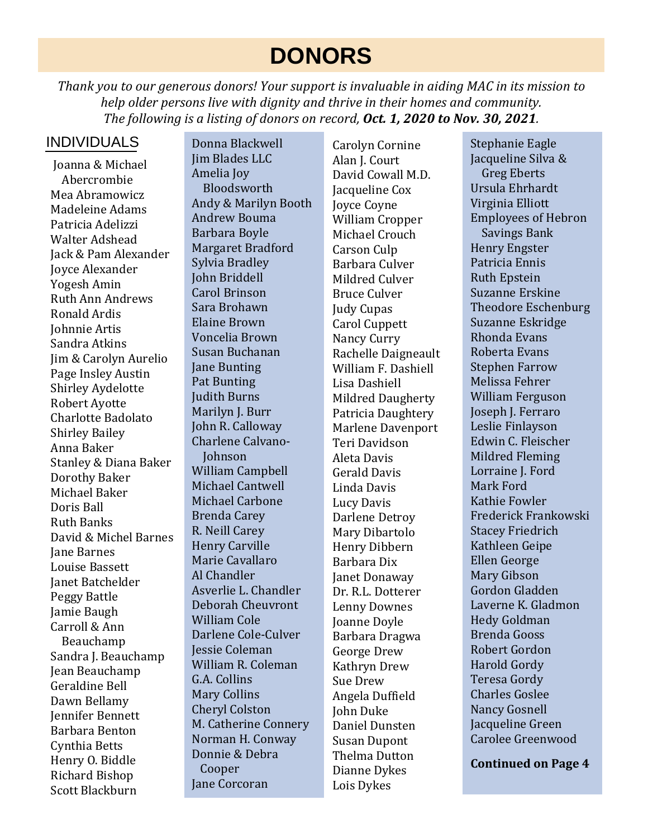# **DONORS**

*Thank you to our generous donors! Your support is invaluable in aiding MAC in its mission to help older persons live with dignity and thrive in their homes and community. The following is a listing of donors on record, Oct. 1, 2020 to Nov. 30, 2021.*

### INDIVIDUALS

Joanna & Michael Abercrombie Mea Abramowicz Madeleine Adams Patricia Adelizzi Walter Adshead Jack & Pam Alexander Joyce Alexander Yogesh Amin Ruth Ann Andrews Ronald Ardis Johnnie Artis Sandra Atkins Jim & Carolyn Aurelio Page Insley Austin Shirley Aydelotte Robert Ayotte Charlotte Badolato Shirley Bailey Anna Baker Stanley & Diana Baker Dorothy Baker Michael Baker Doris Ball Ruth Banks David & Michel Barnes Jane Barnes Louise Bassett Janet Batchelder Peggy Battle Jamie Baugh Carroll & Ann Beauchamp Sandra J. Beauchamp Jean Beauchamp Geraldine Bell Dawn Bellamy Jennifer Bennett Barbara Benton Cynthia Betts Henry O. Biddle Richard Bishop Scott Blackburn

Donna Blackwell Jim Blades LLC Amelia Joy Bloodsworth Andy & Marilyn Booth Andrew Bouma Barbara Boyle Margaret Bradford Sylvia Bradley John Briddell Carol Brinson Sara Brohawn Elaine Brown Voncelia Brown Susan Buchanan Jane Bunting Pat Bunting Judith Burns Marilyn J. Burr John R. Calloway Charlene Calvano- Johnson William Campbell Michael Cantwell Michael Carbone Brenda Carey R. Neill Carey Henry Carville Marie Cavallaro Al Chandler Asverlie L. Chandler Deborah Cheuvront William Cole Darlene Cole-Culver Jessie Coleman William R. Coleman G.A. Collins Mary Collins Cheryl Colston M. Catherine Connery Norman H. Conway Donnie & Debra Cooper Jane Corcoran

Carolyn Cornine Alan I. Court David Cowall M.D. Jacqueline Cox Joyce Coyne William Cropper Michael Crouch Carson Culp Barbara Culver Mildred Culver Bruce Culver Judy Cupas Carol Cuppett Nancy Curry Rachelle Daigneault William F. Dashiell Lisa Dashiell Mildred Daugherty Patricia Daughtery Marlene Davenport Teri Davidson Aleta Davis Gerald Davis Linda Davis Lucy Davis Darlene Detroy Mary Dibartolo Henry Dibbern Barbara Dix Janet Donaway Dr. R.L. Dotterer Lenny Downes Joanne Doyle Barbara Dragwa George Drew Kathryn Drew Sue Drew Angela Duffield John Duke Daniel Dunsten Susan Dupont Thelma Dutton Dianne Dykes Lois Dykes

Stephanie Eagle Jacqueline Silva & Greg Eberts Ursula Ehrhardt Virginia Elliott Employees of Hebron Savings Bank Henry Engster Patricia Ennis Ruth Epstein Suzanne Erskine Theodore Eschenburg Suzanne Eskridge Rhonda Evans Roberta Evans Stephen Farrow Melissa Fehrer William Ferguson Joseph J. Ferraro Leslie Finlayson Edwin C. Fleischer Mildred Fleming Lorraine J. Ford Mark Ford Kathie Fowler Frederick Frankowski Stacey Friedrich Kathleen Geipe Ellen George Mary Gibson Gordon Gladden Laverne K. Gladmon Hedy Goldman Brenda Gooss Robert Gordon Harold Gordy Teresa Gordy Charles Goslee Nancy Gosnell Jacqueline Green Carolee Greenwood

**Continued on Page 4**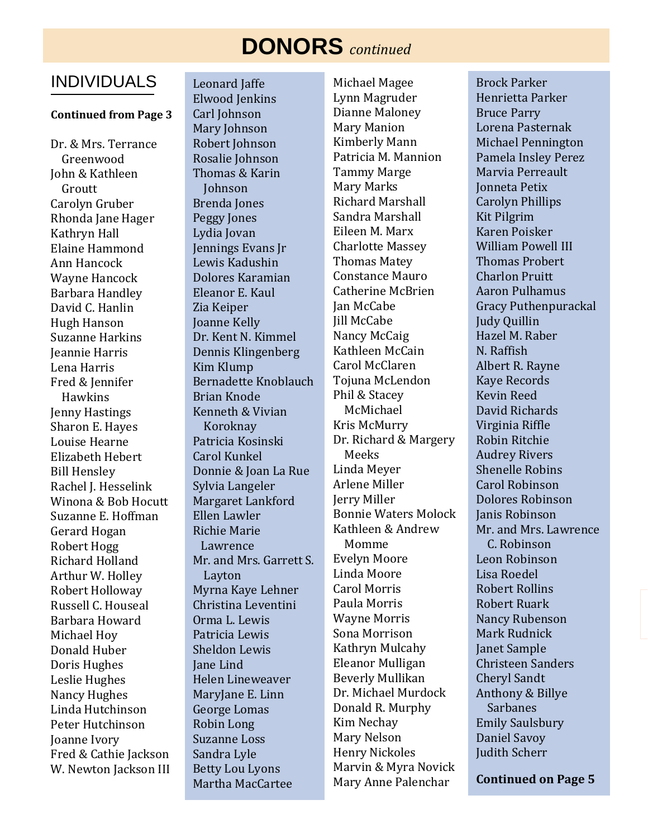# **DONORS** *continued*

### INDIVIDUALS

#### **Continued from Page 3**

Dr. & Mrs. Terrance Greenwood John & Kathleen Groutt Carolyn Gruber Rhonda Jane Hager Kathryn Hall Elaine Hammond Ann Hancock Wayne Hancock Barbara Handley David C. Hanlin Hugh Hanson Suzanne Harkins Jeannie Harris Lena Harris Fred & Jennifer Hawkins Jenny Hastings Sharon E. Hayes Louise Hearne Elizabeth Hebert Bill Hensley Rachel I. Hesselink Winona & Bob Hocutt Suzanne E. Hoffman Gerard Hogan Robert Hogg Richard Holland Arthur W. Holley Robert Holloway Russell C. Houseal Barbara Howard Michael Hoy Donald Huber Doris Hughes Leslie Hughes Nancy Hughes Linda Hutchinson Peter Hutchinson Joanne Ivory Fred & Cathie Jackson W. Newton Jackson III Leonard Jaffe Elwood Jenkins Carl Johnson Mary Johnson Robert Johnson Rosalie Johnson Thomas & Karin Johnson Brenda Jones Peggy Jones Lydia Jovan Jennings Evans Jr Lewis Kadushin Dolores Karamian Eleanor E. Kaul Zia Keiper Joanne Kelly Dr. Kent N. Kimmel Dennis Klingenberg Kim Klump Bernadette Knoblauch Brian Knode Kenneth & Vivian Koroknay Patricia Kosinski Carol Kunkel Donnie & Joan La Rue Sylvia Langeler Margaret Lankford Ellen Lawler Richie Marie Lawrence Mr. and Mrs. Garrett S. Layton Myrna Kaye Lehner Christina Leventini Orma L. Lewis Patricia Lewis Sheldon Lewis Jane Lind Helen Lineweaver MaryJane E. Linn George Lomas Robin Long Suzanne Loss Sandra Lyle Betty Lou Lyons Martha MacCartee

Michael Magee Lynn Magruder Dianne Maloney Mary Manion Kimberly Mann Patricia M. Mannion Tammy Marge Mary Marks Richard Marshall Sandra Marshall Eileen M. Marx Charlotte Massey Thomas Matey Constance Mauro Catherine McBrien Jan McCabe Jill McCabe Nancy McCaig Kathleen McCain Carol McClaren Tojuna McLendon Phil & Stacey McMichael Kris McMurry Dr. Richard & Margery Meeks Linda Meyer Arlene Miller Jerry Miller Bonnie Waters Molock Kathleen & Andrew Momme Evelyn Moore Linda Moore Carol Morris Paula Morris Wayne Morris Sona Morrison Kathryn Mulcahy Eleanor Mulligan Beverly Mullikan Dr. Michael Murdock Donald R. Murphy Kim Nechay Mary Nelson Henry Nickoles Marvin & Myra Novick Mary Anne Palenchar

Brock Parker Henrietta Parker Bruce Parry Lorena Pasternak Michael Pennington Pamela Insley Perez Marvia Perreault Jonneta Petix Carolyn Phillips Kit Pilgrim Karen Poisker William Powell III Thomas Probert Charlon Pruitt Aaron Pulhamus Gracy Puthenpurackal Judy Quillin Hazel M. Raber N. Raffish Albert R. Rayne Kaye Records Kevin Reed David Richards Virginia Riffle Robin Ritchie Audrey Rivers Shenelle Robins Carol Robinson Dolores Robinson Janis Robinson Mr. and Mrs. Lawrence C. Robinson Leon Robinson Lisa Roedel Robert Rollins Robert Ruark Nancy Rubenson Mark Rudnick Janet Sample Christeen Sanders Cheryl Sandt Anthony & Billye Sarbanes Emily Saulsbury Daniel Savoy Judith Scherr

**Continued on Page 5**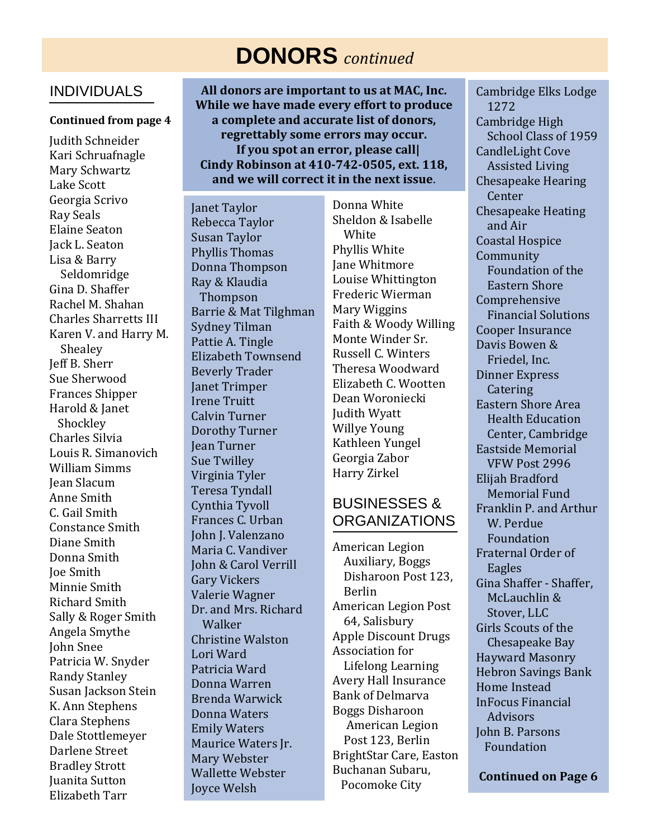# **DONORS** *continued*

### INDIVIDUALS

#### **Continued from page 4**

 Mary Schwartz Lake Scott ī  $\overline{a}$  Lisa & Barry ֦֧֦֦֧֦֧֦֧֦֧֦֧֦֧֦֧֦֧֦֡֝֟ `, .<br>م Karen V. and Harry M. Shealey Frances Shipper Harold & Janet Shockley Louis R. Simanovich William Simms Anne Smith C. Gail Smith Constance Smith Diane Smith Donna Smith Minnie Smith Richard Smith Sally & Roger Smith <u>ו</u> ן<br>ז .<br>- Clara Stephens Dale Stottlemeyer Darlene Street Bradley Strott Juanita Sutton Elizabeth Tarr Judith Schneider Kari Schruafnagle Georgia Scrivo Ray Seals Elaine Seaton Jack L. Seaton Seldomridge Gina D. Shaffer Rachel M. Shahan Charles Sharretts III Jeff B. Sherr Sue Sherwood Charles Silvia Jean Slacum Joe Smith Angela Smythe John Snee Patricia W. Snyder Randy Stanley Susan Jackson Stein K. Ann Stephens

**All donors are important to us at MAC, Inc. While we have made every effort to produce a complete and accurate list of donors, regrettably some errors may occur. If you spot an error, please call| Cindy Robinson at 410-742-0505, ext. 118, and we will correct it in the next issue**.

Janet Taylor Rebecca Taylor Susan Taylor Phyllis Thomas Donna Thompson Ray & Klaudia Thompson Barrie & Mat Tilghman Sydney Tilman Pattie A. Tingle Elizabeth Townsend Beverly Trader Janet Trimper Irene Truitt Calvin Turner Dorothy Turner Jean Turner Sue Twilley Virginia Tyler Teresa Tyndall Cynthia Tyvoll Frances C. Urban John J. Valenzano Maria C. Vandiver John & Carol Verrill Gary Vickers Valerie Wagner Dr. and Mrs. Richard Walker Christine Walston Lori Ward Patricia Ward Donna Warren Brenda Warwick Donna Waters Emily Waters Maurice Waters Jr. Mary Webster Wallette Webster Joyce Welsh

Donna White Sheldon & Isabelle **White** Phyllis White Jane Whitmore Louise Whittington Frederic Wierman Mary Wiggins Faith & Woody Willing Monte Winder Sr. Russell C. Winters Theresa Woodward Elizabeth C. Wootten Dean Woroniecki Judith Wyatt Willye Young Kathleen Yungel Georgia Zabor Harry Zirkel

### BUSINESSES & ORGANIZATIONS

American Legion Auxiliary, Boggs Disharoon Post 123, Berlin American Legion Post 64, Salisbury Apple Discount Drugs Association for Lifelong Learning Avery Hall Insurance Bank of Delmarva Boggs Disharoon American Legion Post 123, Berlin BrightStar Care, Easton Buchanan Subaru, Pocomoke City

Cambridge Elks Lodge 1272 Cambridge High School Class of 1959 CandleLight Cove Assisted Living Chesapeake Hearing **Center** Chesapeake Heating and Air Coastal Hospice Community Foundation of the Eastern Shore Comprehensive Financial Solutions Cooper Insurance Davis Bowen & Friedel, Inc. Dinner Express **Catering** Eastern Shore Area Health Education Center, Cambridge Eastside Memorial VFW Post 2996 Elijah Bradford Memorial Fund Franklin P. and Arthur W. Perdue Foundation Fraternal Order of Eagles Gina Shaffer - Shaffer, McLauchlin & Stover, LLC Girls Scouts of the Chesapeake Bay Hayward Masonry Hebron Savings Bank Home Instead InFocus Financial **Advisors** John B. Parsons Foundation

**Continued on Page 6**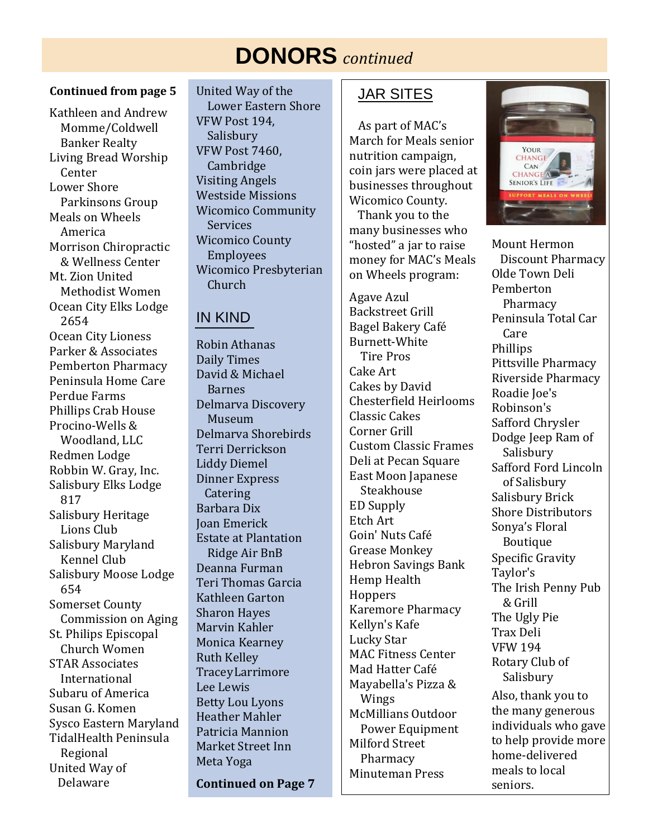# **DONORS** *continued*

#### **Continued from page 5**

Kathleen and Andrew Momme/Coldwell Banker Realty Living Bread Worship Center Lower Shore Parkinsons Group Meals on Wheels America Morrison Chiropractic & Wellness Center Mt. Zion United Methodist Women Ocean City Elks Lodge 2654 Ocean City Lioness Parker & Associates Pemberton Pharmacy Peninsula Home Care Perdue Farms Phillips Crab House Procino-Wells & Woodland, LLC Redmen Lodge Robbin W. Gray, Inc. Salisbury Elks Lodge 817 Salisbury Heritage Lions Club Salisbury Maryland Kennel Club Salisbury Moose Lodge 654 Somerset County Commission on Aging St. Philips Episcopal Church Women STAR Associates International Subaru of America Susan G. Komen Sysco Eastern Maryland TidalHealth Peninsula Regional United Way of Delaware

United Way of the Lower Eastern Shore VFW Post 194, Salisbury VFW Post 7460, Cambridge Visiting Angels Westside Missions Wicomico Community Services Wicomico County Employees Wicomico Presbyterian Church

### IN KIND

Robin Athanas Daily Times David & Michael Barnes Delmarva Discovery Museum Delmarva Shorebirds Terri Derrickson Liddy Diemel Dinner Express **Catering** Barbara Dix Joan Emerick Estate at Plantation Ridge Air BnB Deanna Furman Teri Thomas Garcia Kathleen Garton Sharon Hayes Marvin Kahler Monica Kearney Ruth Kelley TraceyLarrimore Lee Lewis Betty Lou Lyons Heather Mahler Patricia Mannion Market Street Inn Meta Yoga **Continued on Page 7**

### JAR SITES

 As part of MAC's March for Meals senior nutrition campaign, coin jars were placed at businesses throughout Wicomico County. Thank you to the many businesses who "hosted" a jar to raise money for MAC's Meals on Wheels program:

Agave Azul Backstreet Grill Bagel Bakery Café Burnett-White Tire Pros Cake Art Cakes by David Chesterfield Heirlooms Classic Cakes Corner Grill Custom Classic Frames Deli at Pecan Square East Moon Japanese Steakhouse ED Supply Etch Art Goin' Nuts Café Grease Monkey Hebron Savings Bank Hemp Health **Hoppers** Karemore Pharmacy Kellyn's Kafe Lucky Star MAC Fitness Center Mad Hatter Café Mayabella's Pizza & Wings McMillians Outdoor Power Equipment Milford Street Pharmacy Minuteman Press



Mount Hermon Discount Pharmacy Olde Town Deli Pemberton Pharmacy Peninsula Total Car Care Phillips Pittsville Pharmacy Riverside Pharmacy Roadie Joe's Robinson's Safford Chrysler Dodge Jeep Ram of Salisbury Safford Ford Lincoln of Salisbury Salisbury Brick Shore Distributors Sonya's Floral Boutique Specific Gravity Taylor's The Irish Penny Pub & Grill The Ugly Pie Trax Deli VFW 194 Rotary Club of Salisbury Also, thank you to the many generous individuals who gave to help provide more home-delivered meals to local seniors.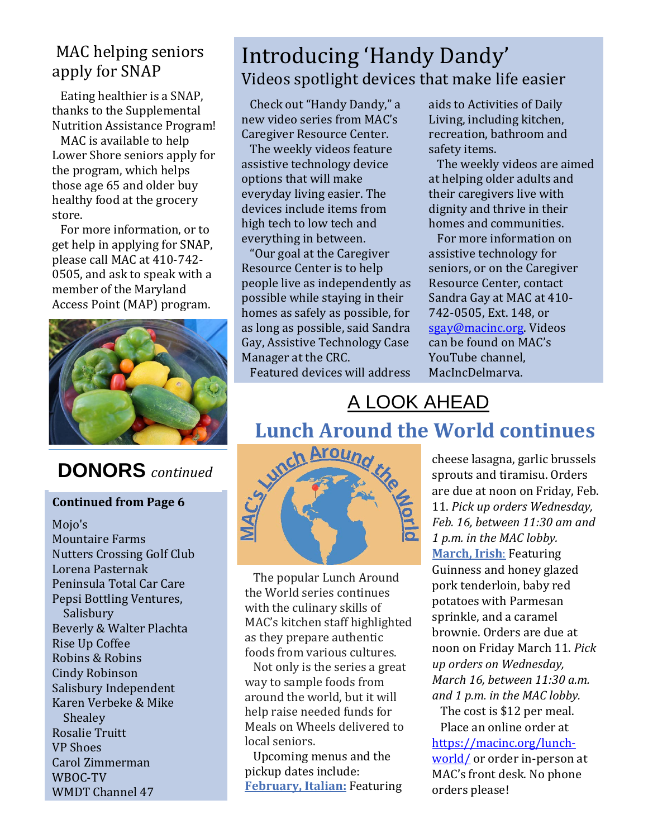### MAC helping seniors apply for SNAP

 Eating healthier is a SNAP, thanks to the Supplemental Nutrition Assistance Program!

 MAC is available to help Lower Shore seniors apply for the program, which helps those age 65 and older buy healthy food at the grocery store.

 For more information, or to get help in applying for SNAP, please call MAC at 410-742- 0505, and ask to speak with a member of the Maryland Access Point (MAP) program.



## **DONORS** *continued*

### **Continued from Page 6**

Mojo's Mountaire Farms Nutters Crossing Golf Club Lorena Pasternak Peninsula Total Car Care Pepsi Bottling Ventures, Salisbury Beverly & Walter Plachta Rise Up Coffee Robins & Robins Cindy Robinson Salisbury Independent Karen Verbeke & Mike **Shealey** Rosalie Truitt VP Shoes Carol Zimmerman WBOC-TV WMDT Channel 47

# Introducing 'Handy Dandy' Videos spotlight devices that make life easier

 Check out "Handy Dandy," a new video series from MAC's Caregiver Resource Center.

 The weekly videos feature assistive technology device options that will make everyday living easier. The devices include items from high tech to low tech and everything in between.

 "Our goal at the Caregiver Resource Center is to help people live as independently as possible while staying in their homes as safely as possible, for as long as possible, said Sandra Gay, Assistive Technology Case Manager at the CRC.

Featured devices will address

aids to Activities of Daily Living, including kitchen, recreation, bathroom and safety items.

 The weekly videos are aimed at helping older adults and their caregivers live with dignity and thrive in their homes and communities.

 For more information on assistive technology for seniors, or on the Caregiver Resource Center, contact Sandra Gay at MAC at 410- 742-0505, Ext. 148, or [sgay@macinc.org.](mailto:sgay@macinc.org) Videos can be found on MAC's YouTube channel, MacIncDelmarva.

# A LOOK AHEAD

### **Lunch Around the World continues** ļ



 the World series continues with the culinary skills of<br>MAG bitch MAC S KICHEN Starf Inginig<br>as they prepare authentic foods from various cultures. The popular Lunch Around MAC's kitchen staff highlighted l,  $\overline{\phantom{0}}$ ľ י<br>י

 Not only is the series a great way to sample foods from around the world, but it will help raise needed funds for Meals on Wheels delivered to local seniors.

 Upcoming menus and the pickup dates include: **February, Italian:** Featuring cheese lasagna, garlic brussels sprouts and tiramisu. Orders are due at noon on Friday, Feb. 11. *Pick up orders Wednesday, Feb. 16, between 11:30 am and 1 p.m. in the MAC lobby.* **March, Irish**: Featuring Guinness and honey glazed pork tenderloin, baby red potatoes with Parmesan sprinkle, and a caramel brownie. Orders are due at noon on Friday March 11. *Pick up orders on Wednesday, March 16, between 11:30 a.m. and 1 p.m. in the MAC lobby.*

 The cost is \$12 per meal. Place an online order at [https://macinc.org/lunch](https://macinc.org/lunch-world/)[world/](https://macinc.org/lunch-world/) or order in-person at MAC's front desk. No phone orders please!